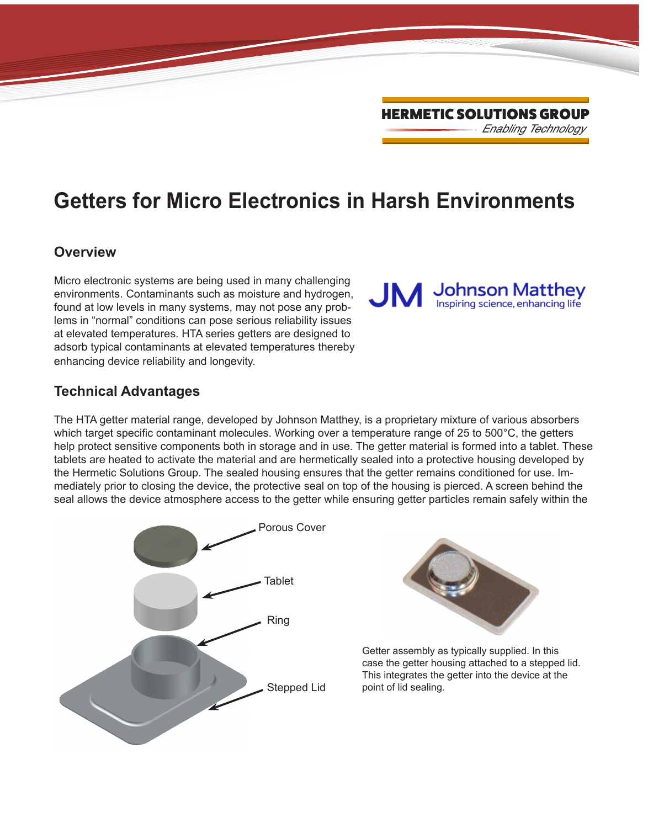*Enabling Technology* HERMETIC SOLUTIONS GROUP

# **Getters for Micro Electronics in Harsh Environments**

#### **Overview**

Micro electronic systems are being used in many challenging environments. Contaminants such as moisture and hydrogen, found at low levels in many systems, may not pose any problems in "normal" conditions can pose serious reliability issues at elevated temperatures. HTA series getters are designed to adsorb typical contaminants at elevated temperatures thereby enhancing device reliability and longevity.

#### **Technical Advantages**

The HTA getter material range, developed by Johnson Matthey, is a proprietary mixture of various absorbers which target specific contaminant molecules. Working over a temperature range of 25 to 500°C, the getters help protect sensitive components both in storage and in use. The getter material is formed into a tablet. These tablets are heated to activate the material and are hermetically sealed into a protective housing developed by the Hermetic Solutions Group. The sealed housing ensures that the getter remains conditioned for use. Immediately prior to closing the device, the protective seal on top of the housing is pierced. A screen behind the seal allows the device atmosphere access to the getter while ensuring getter particles remain safely within the





Getter assembly as typically supplied. In this case the getter housing attached to a stepped lid. This integrates the getter into the device at the